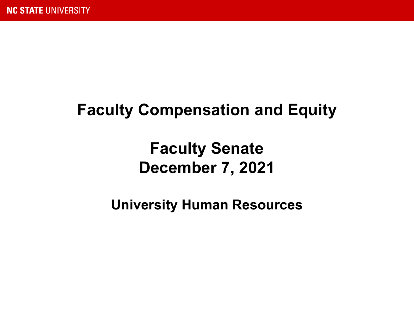### **Faculty Compensation and Equity**

### **Faculty Senate December 7, 2021**

**University Human Resources**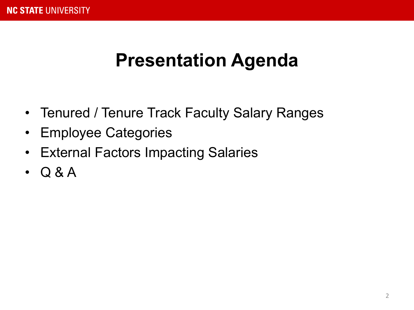## **Presentation Agenda**

- Tenured / Tenure Track Faculty Salary Ranges
- Employee Categories
- External Factors Impacting Salaries
- Q & A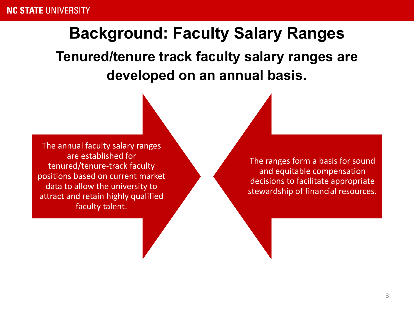#### **Background: Faculty Salary Ranges**

**Tenured/tenure track faculty salary ranges are developed on an annual basis.**

The annual faculty salary ranges are established for tenured/tenure-track faculty positions based on current market data to allow the university to attract and retain highly qualified faculty talent.

The ranges form a basis for sound and equitable compensation decisions to facilitate appropriate stewardship of financial resources.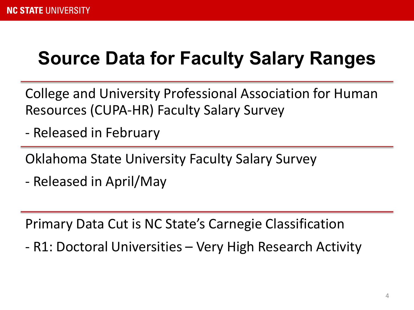# **Source Data for Faculty Salary Ranges**

College and University Professional Association for Human Resources (CUPA-HR) Faculty Salary Survey

- Released in February

Oklahoma State University Faculty Salary Survey

- Released in April/May

Primary Data Cut is NC State's Carnegie Classification

- R1: Doctoral Universities – Very High Research Activity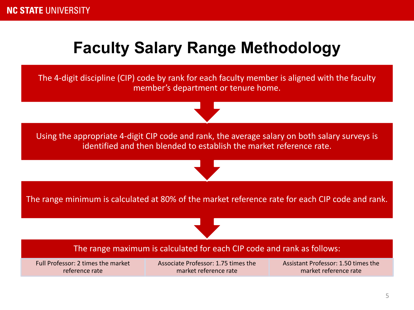### **Faculty Salary Range Methodology**

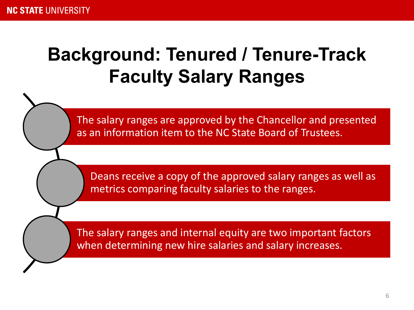# **Background: Tenured / Tenure-Track Faculty Salary Ranges**

The salary ranges are approved by the Chancellor and presented as an information item to the NC State Board of Trustees.

Deans receive a copy of the approved salary ranges as well as metrics comparing faculty salaries to the ranges.

The salary ranges and internal equity are two important factors when determining new hire salaries and salary increases.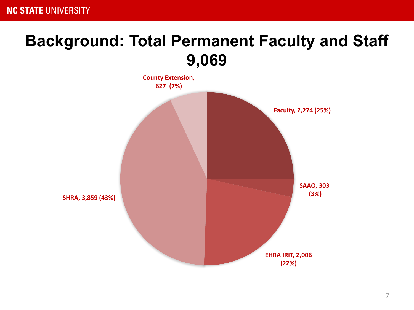#### **Background: Total Permanent Faculty and Staff 9,069**

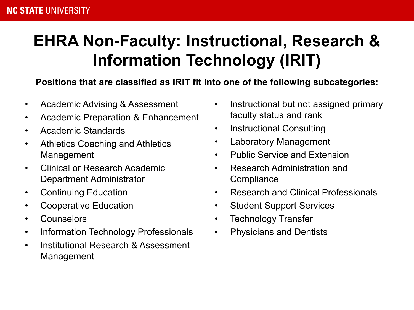### **EHRA Non-Faculty: Instructional, Research & Information Technology (IRIT)**

#### **Positions that are classified as IRIT fit into one of the following subcategories:**

- Academic Advising & Assessment
- Academic Preparation & Enhancement
- Academic Standards
- Athletics Coaching and Athletics Management
- Clinical or Research Academic Department Administrator
- Continuing Education
- Cooperative Education
- Counselors
- Information Technology Professionals
- Institutional Research & Assessment Management
- Instructional but not assigned primary faculty status and rank
- Instructional Consulting
- Laboratory Management
- Public Service and Extension
- Research Administration and **Compliance**
- Research and Clinical Professionals
- Student Support Services
- Technology Transfer
- Physicians and Dentists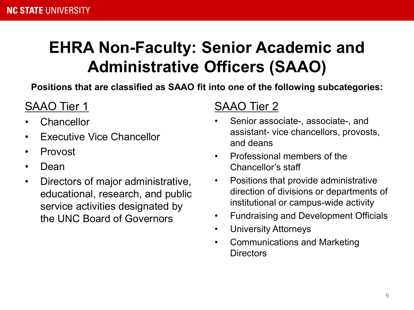### **EHRA Non-Faculty: Senior Academic and Administrative Officers (SAAO)**

**Positions that are classified as SAAO fit into one of the following subcategories:**

#### SAAO Tier 1

- **Chancellor**
- Executive Vice Chancellor
- Provost
- Dean
- Directors of major administrative, educational, research, and public service activities designated by the UNC Board of Governors

#### SAAO Tier 2

- Senior associate-, associate-, and assistant- vice chancellors, provosts, and deans
- Professional members of the Chancellor's staff
- Positions that provide administrative direction of divisions or departments of institutional or campus-wide activity
- Fundraising and Development Officials
- University Attorneys
- Communications and Marketing **Directors**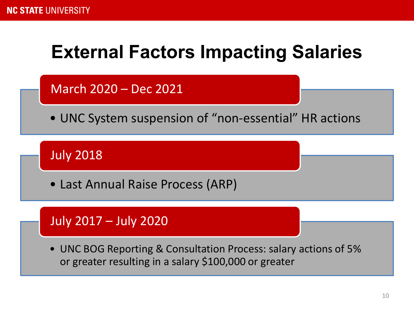# **External Factors Impacting Salaries**

March 2020 – Dec 2021

• UNC System suspension of "non-essential" HR actions

July 2018

• Last Annual Raise Process (ARP)

#### July 2017 – July 2020

• UNC BOG Reporting & Consultation Process: salary actions of 5% or greater resulting in a salary \$100,000 or greater